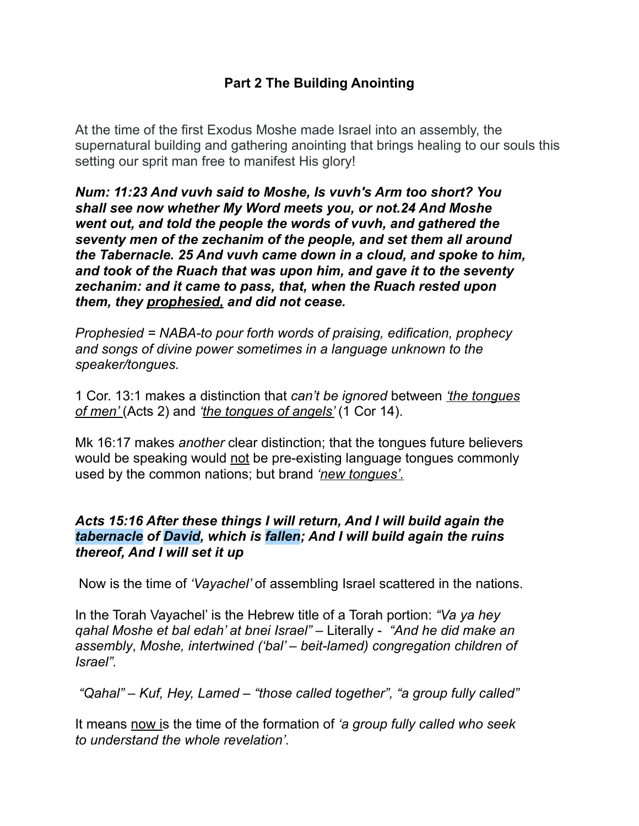# **Part 2 The Building Anointing**

At the time of the first Exodus Moshe made Israel into an assembly, the supernatural building and gathering anointing that brings healing to our souls this setting our sprit man free to manifest His glory!

*Num: 11:23 And vuvh said to Moshe, Is vuvh's Arm too short? You shall see now whether My Word meets you, or not.24 And Moshe went out, and told the people the words of vuvh, and gathered the seventy men of the zechanim of the people, and set them all around the Tabernacle. 25 And vuvh came down in a cloud, and spoke to him, and took of the Ruach that was upon him, and gave it to the seventy zechanim: and it came to pass, that, when the Ruach rested upon them, they prophesied, and did not cease.* 

*Prophesied = NABA-to pour forth words of praising, edification, prophecy and songs of divine power sometimes in a language unknown to the speaker/tongues.* 

1 Cor. 13:1 makes a distinction that *can't be ignored* between *'the tongues of men'* (Acts 2) and *'the tongues of angels'* (1 Cor 14).

Mk 16:17 makes *another* clear distinction; that the tongues future believers would be speaking would not be pre-existing language tongues commonly used by the common nations; but brand *'new tongues'.* 

## *Acts 15:16 After these things I will return, And I will build again the tabernacle of David, which is fallen; And I will build again the ruins thereof, And I will set it up*

Now is the time of *'Vayachel'* of assembling Israel scattered in the nations.

In the Torah Vayachel' is the Hebrew title of a Torah portion: *"Va ya hey qahal Moshe et bal edah' at bnei Israel"* – Literally - *"And he did make an assembly*, *Moshe, intertwined ('bal' – beit-lamed) congregation children of Israel".* 

 *"Qahal" – Kuf, Hey, Lamed* – *"those called together", "a group fully called"*

It means now is the time of the formation of *'a group fully called who seek to understand the whole revelation'.*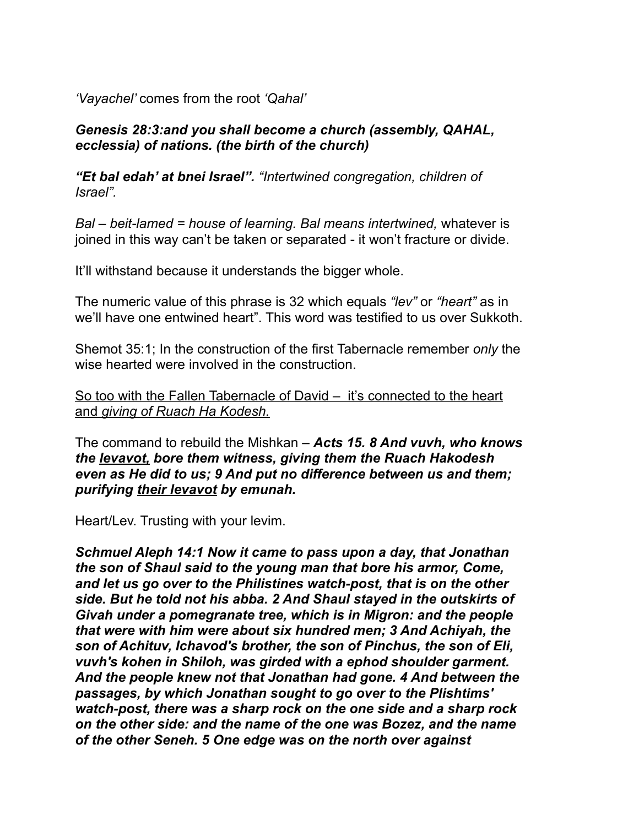*'Vayachel'* comes from the root *'Qahal'* 

# *Genesis 28:3:and you shall become a church (assembly, QAHAL, ecclessia) of nations. (the birth of the church)*

*"Et bal edah' at bnei Israel". "Intertwined congregation, children of Israel".* 

*Bal – beit-lamed = house of learning. Bal means intertwined,* whatever is joined in this way can't be taken or separated - it won't fracture or divide.

It'll withstand because it understands the bigger whole.

The numeric value of this phrase is 32 which equals *"lev"* or *"heart"* as in we'll have one entwined heart". This word was testified to us over Sukkoth.

Shemot 35:1; In the construction of the first Tabernacle remember *only* the wise hearted were involved in the construction.

So too with the Fallen Tabernacle of David – it's connected to the heart and *giving of Ruach Ha Kodesh.*

The command to rebuild the Mishkan – *Acts 15. 8 And vuvh, who knows the levavot, bore them witness, giving them the Ruach Hakodesh even as He did to us; 9 And put no difference between us and them; purifying their levavot by emunah.*

Heart/Lev. Trusting with your levim.

*Schmuel Aleph 14:1 Now it came to pass upon a day, that Jonathan the son of Shaul said to the young man that bore his armor, Come, and let us go over to the Philistines watch-post, that is on the other side. But he told not his abba. 2 And Shaul stayed in the outskirts of Givah under a pomegranate tree, which is in Migron: and the people that were with him were about six hundred men; 3 And Achiyah, the son of Achituv, Ichavod's brother, the son of Pinchus, the son of Eli, vuvh's kohen in Shiloh, was girded with a ephod shoulder garment. And the people knew not that Jonathan had gone. 4 And between the passages, by which Jonathan sought to go over to the Plishtims' watch-post, there was a sharp rock on the one side and a sharp rock on the other side: and the name of the one was Bozez, and the name of the other Seneh. 5 One edge was on the north over against*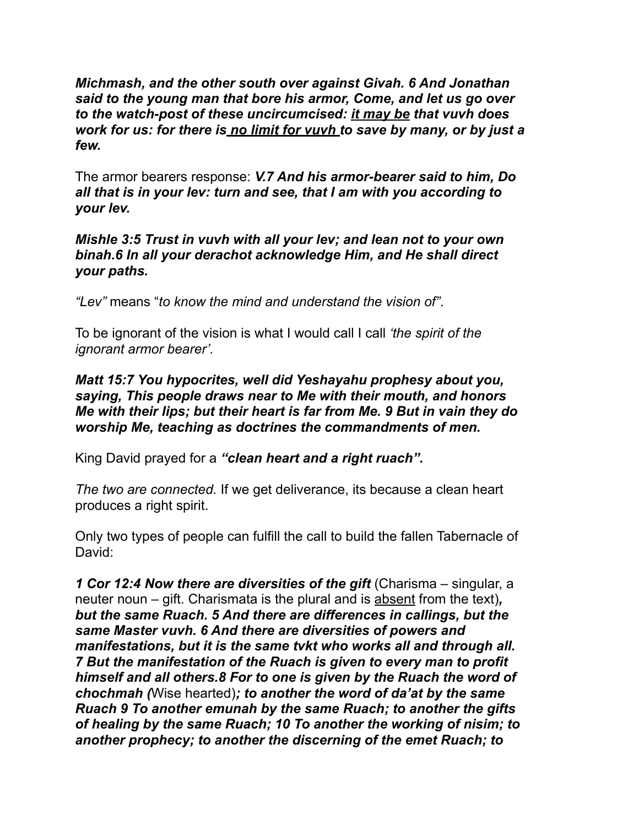*Michmash, and the other south over against Givah. 6 And Jonathan said to the young man that bore his armor, Come, and let us go over to the watch-post of these uncircumcised: it may be that vuvh does work for us: for there is no limit for vuvh to save by many, or by just a few.* 

The armor bearers response: *V.7 And his armor-bearer said to him, Do all that is in your lev: turn and see, that I am with you according to your lev.* 

*Mishle 3:5 Trust in vuvh with all your lev; and lean not to your own binah.6 In all your derachot acknowledge Him, and He shall direct your paths.* 

*"Lev"* means "*to know the mind and understand the vision of"*.

To be ignorant of the vision is what I would call I call *'the spirit of the ignorant armor bearer'.*

*Matt 15:7 You hypocrites, well did Yeshayahu prophesy about you, saying, This people draws near to Me with their mouth, and honors Me with their lips; but their heart is far from Me. 9 But in vain they do worship Me, teaching as doctrines the commandments of men.* 

King David prayed for a *"clean heart and a right ruach".* 

*The two are connected.* If we get deliverance, its because a clean heart produces a right spirit.

Only two types of people can fulfill the call to build the fallen Tabernacle of David:

*1 Cor 12:4 Now there are diversities of the gift (Charisma – singular, a* neuter noun – gift. Charismata is the plural and is absent from the text)*, but the same Ruach. 5 And there are differences in callings, but the same Master vuvh. 6 And there are diversities of powers and manifestations, but it is the same tvkt who works all and through all. 7 But the manifestation of the Ruach is given to every man to profit himself and all others.8 For to one is given by the Ruach the word of chochmah (*Wise hearted)*; to another the word of da'at by the same Ruach 9 To another emunah by the same Ruach; to another the gifts of healing by the same Ruach; 10 To another the working of nisim; to another prophecy; to another the discerning of the emet Ruach; to*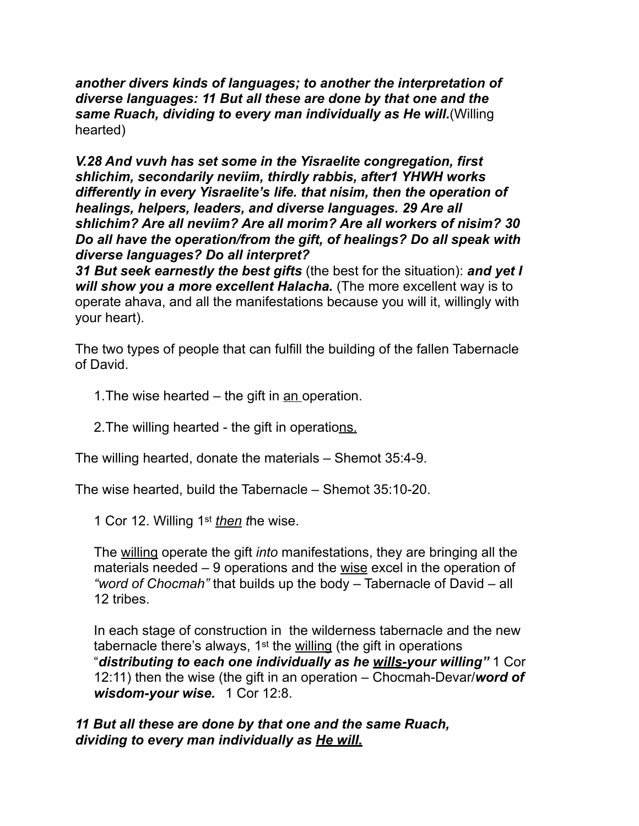*another divers kinds of languages; to another the interpretation of diverse languages: 11 But all these are done by that one and the same Ruach, dividing to every man individually as He will.*(Willing hearted)

*V.28 And vuvh has set some in the Yisraelite congregation, first shlichim, secondarily neviim, thirdly rabbis, after1 YHWH works differently in every Yisraelite's life. that nisim, then the operation of healings, helpers, leaders, and diverse languages. 29 Are all shlichim? Are all neviim? Are all morim? Are all workers of nisim? 30 Do all have the operation/from the gift, of healings? Do all speak with diverse languages? Do all interpret?* 

*31 But seek earnestly the best gifts* (the best for the situation): *and yet I*  will show you a more excellent Halacha. (The more excellent way is to operate ahava, and all the manifestations because you will it, willingly with your heart).

The two types of people that can fulfill the building of the fallen Tabernacle of David.

- 1.The wise hearted the gift in an operation.
- 2. The willing hearted the gift in operations.

The willing hearted, donate the materials – Shemot 35:4-9.

The wise hearted, build the Tabernacle – Shemot 35:10-20.

1 Cor 12. Willing 1st *then t*he wise.

The willing operate the gift *into* manifestations, they are bringing all the materials needed – 9 operations and the wise excel in the operation of *"word of Chocmah"* that builds up the body – Tabernacle of David – all 12 tribes.

In each stage of construction in the wilderness tabernacle and the new tabernacle there's always, 1st the willing (the gift in operations "*distributing to each one individually as he wills-your willing"* 1 Cor 12:11) then the wise (the gift in an operation – Chocmah-Devar/*word of wisdom-your wise.* 1 Cor 12:8.

### *11 But all these are done by that one and the same Ruach, dividing to every man individually as He will.*